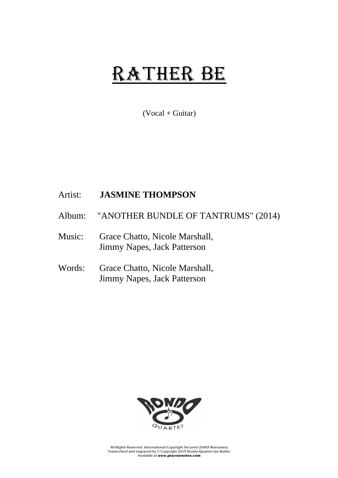## RATHER BE

 $(Vocal + Guitar)$ 

## Artist: **JASMINE THOMPSON**

- Album: "ANOTHER BUNDLE OF TANTRUMS" (2014)
- Music: Grace Chatto, Nicole Marshall, Jimmy Napes, Jack Patterson
- Words: Grace Chatto, Nicole Marshall, Jimmy Napes, Jack Patterson



All Rights Reserved. International Copyright Secured (ZAiKS Warszawa) Transcribed and engraved by © Copyright 2015 Rondo-Quartet-Jan Walter Available at **www.playournotes.com**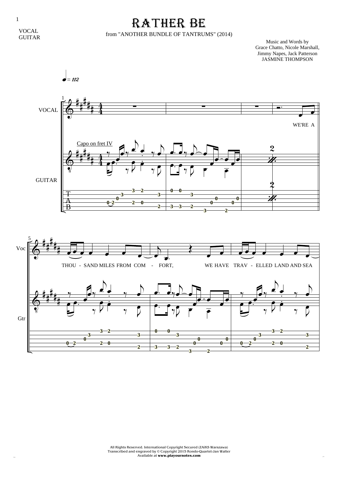1

## RATHER BE

## from "ANOTHER BUNDLE OF TANTRUMS" (2014)

Music and Words by Grace Chatto, Nicole Marshall, Jimmy Napes, Jack Patterson JASMINE THOMPSON